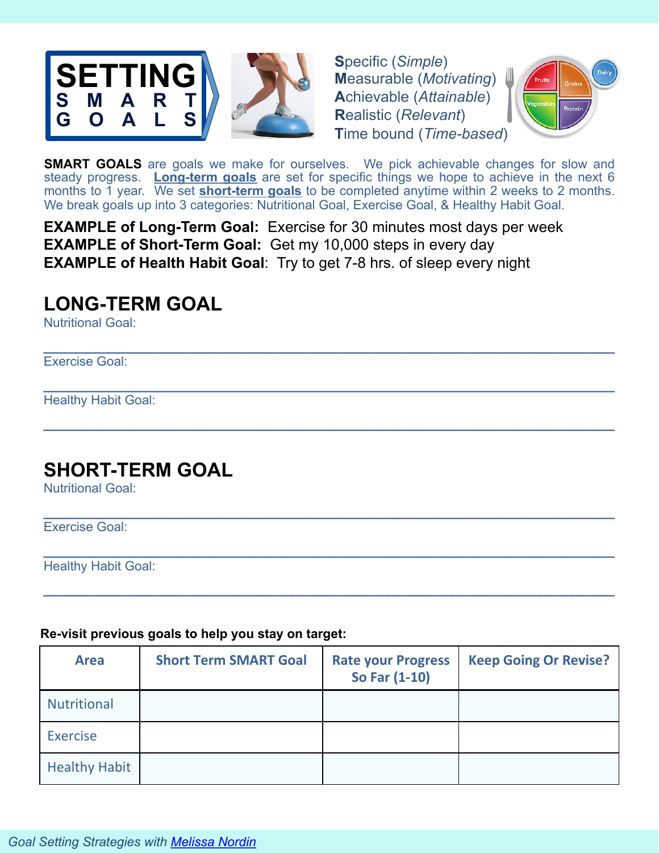

**S**pecific (*Simple*) **M**easurable (*Motivating*) **A**chievable (*Attainable*) **R**ealistic (*Relevant*) **T**ime bound (*Time-based*)



**SMART GOALS** are goals we make for ourselves. We pick achievable changes for slow and steady progress. **Long-term goals** are set for specific things we hope to achieve in the next 6 months to 1 year. We set **short-term goals** to be completed anytime within 2 weeks to 2 months. We break goals up into 3 categories: Nutritional Goal, Exercise Goal, & Healthy Habit Goal.

 $\mathcal{L}_\text{max}$  and  $\mathcal{L}_\text{max}$  and  $\mathcal{L}_\text{max}$  and  $\mathcal{L}_\text{max}$  and  $\mathcal{L}_\text{max}$  and  $\mathcal{L}_\text{max}$ 

 $\mathcal{L}_\text{max}$  and  $\mathcal{L}_\text{max}$  and  $\mathcal{L}_\text{max}$  and  $\mathcal{L}_\text{max}$  and  $\mathcal{L}_\text{max}$  and  $\mathcal{L}_\text{max}$ 

 $\mathcal{L}_\text{max}$  and  $\mathcal{L}_\text{max}$  and  $\mathcal{L}_\text{max}$  and  $\mathcal{L}_\text{max}$  and  $\mathcal{L}_\text{max}$  and  $\mathcal{L}_\text{max}$ 

 $\mathcal{L}_\text{max}$  and  $\mathcal{L}_\text{max}$  and  $\mathcal{L}_\text{max}$  and  $\mathcal{L}_\text{max}$  and  $\mathcal{L}_\text{max}$  and  $\mathcal{L}_\text{max}$ 

 $\mathcal{L}_\text{max}$  and  $\mathcal{L}_\text{max}$  and  $\mathcal{L}_\text{max}$  and  $\mathcal{L}_\text{max}$  and  $\mathcal{L}_\text{max}$  and  $\mathcal{L}_\text{max}$ 

 $\mathcal{L}_\text{max}$  and  $\mathcal{L}_\text{max}$  and  $\mathcal{L}_\text{max}$  and  $\mathcal{L}_\text{max}$  and  $\mathcal{L}_\text{max}$  and  $\mathcal{L}_\text{max}$ 

**EXAMPLE of Long-Term Goal:** Exercise for 30 minutes most days per week **EXAMPLE of Short-Term Goal:** Get my 10,000 steps in every day **EXAMPLE of Health Habit Goal**: Try to get 7-8 hrs. of sleep every night

# **LONG-TERM GOAL**

Nutritional Goal:

Exercise Goal:

Healthy Habit Goal:

# **SHORT-TERM GOAL**

Nutritional Goal:

Exercise Goal:

Healthy Habit Goal:

### **Re-visit previous goals to help you stay on target:**

| <b>Area</b>          | <b>Short Term SMART Goal</b> | <b>Rate your Progress</b><br>So Far (1-10) | <b>Keep Going Or Revise?</b> |
|----------------------|------------------------------|--------------------------------------------|------------------------------|
| <b>Nutritional</b>   |                              |                                            |                              |
| <b>Exercise</b>      |                              |                                            |                              |
| <b>Healthy Habit</b> |                              |                                            |                              |